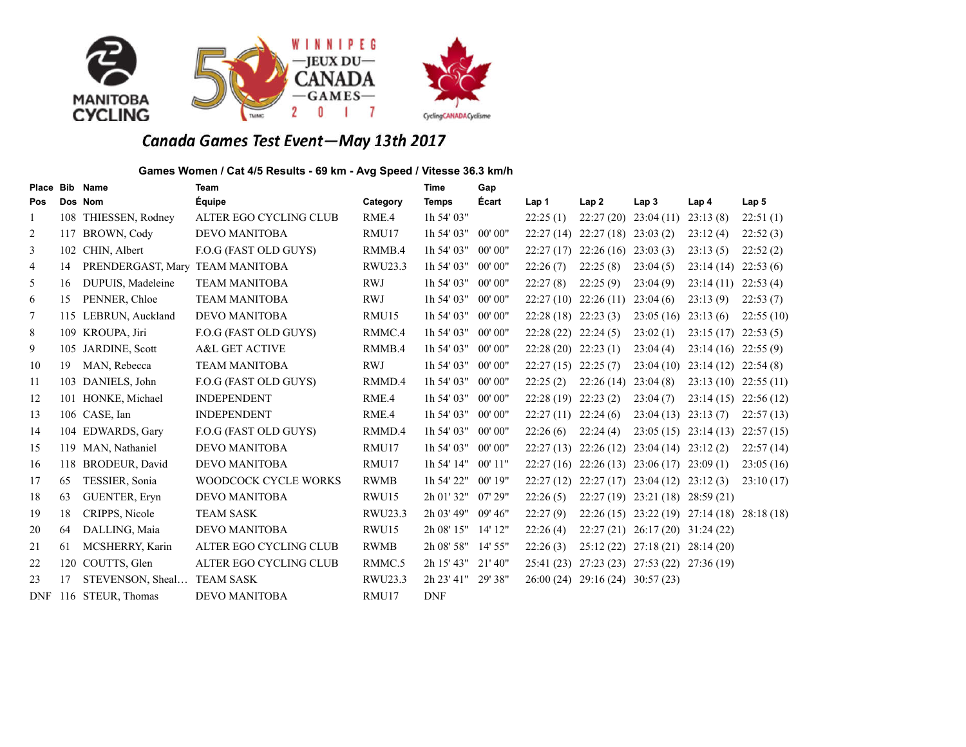

### **Games Women / Cat 4/5 Results - 69 km - Avg Speed / Vitesse 36.3 km/h**

| Place Bib  |     | <b>Name</b>                     | <b>Team</b>               |             | <b>Time</b>  | Gap       |           |                        |                                  |                                             |                  |
|------------|-----|---------------------------------|---------------------------|-------------|--------------|-----------|-----------|------------------------|----------------------------------|---------------------------------------------|------------------|
| Pos        |     | Dos Nom                         | Équipe                    | Category    | <b>Temps</b> | Écart     | Lap 1     | Lap2                   | Lap <sub>3</sub>                 | Lap <sub>4</sub>                            | Lap <sub>5</sub> |
| -1         |     | 108 THIESSEN, Rodney            | ALTER EGO CYCLING CLUB    | RME.4       | 1h 54' 03"   |           | 22:25(1)  | 22:27(20)              | 23:04(11)                        | 23:13(8)                                    | 22:51(1)         |
| 2          |     | 117 BROWN, Cody                 | <b>DEVO MANITOBA</b>      | RMU17       | 1h 54' 03"   | 00' 00"   | 22:27(14) | $22:27(18)$ $23:03(2)$ |                                  | 23:12(4)                                    | 22:52(3)         |
| 3          | 102 | CHIN, Albert                    | F.O.G (FAST OLD GUYS)     | RMMB.4      | 1h 54' 03"   | 00' 00"   | 22:27(17) | 22:26(16)              | 23:03(3)                         | 23:13(5)                                    | 22:52(2)         |
| 4          | 14  | PRENDERGAST, Mary TEAM MANITOBA |                           | RWU23.3     | 1h 54' 03"   | 00' 00"   | 22:26(7)  | 22:25(8)               | 23:04(5)                         | 23:14(14)                                   | 22:53(6)         |
| 5          | 16  | DUPUIS, Madeleine               | <b>TEAM MANITOBA</b>      | <b>RWJ</b>  | 1h 54' 03"   | 00' 00"   | 22:27(8)  | 22:25(9)               | 23:04(9)                         | 23:14(11)                                   | 22:53(4)         |
| 6          | 15  | PENNER, Chloe                   | <b>TEAM MANITOBA</b>      | <b>RWJ</b>  | 1h 54' 03"   | 00' 00"   | 22:27(10) | 22:26(11)              | 23:04(6)                         | 23:13(9)                                    | 22:53(7)         |
| $\tau$     | 115 | LEBRUN, Auckland                | DEVO MANITOBA             | RMU15       | 1h 54' 03"   | 00' 00"   | 22:28(18) | 22:23(3)               | 23:05(16)                        | 23:13(6)                                    | 22:55(10)        |
| 8          |     | 109 KROUPA, Jiri                | F.O.G (FAST OLD GUYS)     | RMMC.4      | 1h 54' 03"   | 00' 00''  | 22:28(22) | 22:24(5)               | 23:02(1)                         | 23:15(17)                                   | 22:53(5)         |
| 9          | 105 | JARDINE, Scott                  | <b>A&amp;L GET ACTIVE</b> | RMMB.4      | 1h 54' 03"   | 00' 00''  | 22:28(20) | 22:23(1)               | 23:04(4)                         | 23:14(16)                                   | 22:55(9)         |
| 10         | 19  | MAN, Rebecca                    | <b>TEAM MANITOBA</b>      | <b>RWJ</b>  | 1h 54' 03"   | 00' 00"   | 22:27(15) | 22:25(7)               | 23:04(10)                        | 23:14(12)                                   | 22:54(8)         |
| 11         | 103 | DANIELS, John                   | F.O.G (FAST OLD GUYS)     | RMMD.4      | 1h 54' 03"   | 00' 00"   | 22:25(2)  | 22:26(14)              | 23:04(8)                         | 23:13(10)                                   | 22:55(11)        |
| 12         |     | 101 HONKE, Michael              | <b>INDEPENDENT</b>        | RME.4       | $1h$ 54' 03" | 00' 00"   | 22:28(19) | 22:23(2)               | 23:04(7)                         | 23:14(15)                                   | 22:56(12)        |
| 13         |     | 106 CASE, Ian                   | <b>INDEPENDENT</b>        | RME.4       | $1h$ 54' 03" | 00' 00"   | 22:27(11) | 22:24(6)               | 23:04(13)                        | 23:13(7)                                    | 22:57(13)        |
| 14         |     | 104 EDWARDS, Gary               | F.O.G (FAST OLD GUYS)     | RMMD.4      | 1h 54' 03"   | 00' 00"   | 22:26(6)  | 22:24(4)               | 23:05(15)                        | 23:14(13)                                   | 22:57(15)        |
| 15         |     | 119 MAN, Nathaniel              | <b>DEVO MANITOBA</b>      | RMU17       | 1h 54' 03"   | 00' 00''  | 22:27(13) | 22:26(12)              | 23:04(14)                        | 23:12(2)                                    | 22:57(14)        |
| 16         |     | 118 BRODEUR, David              | <b>DEVO MANITOBA</b>      | RMU17       | 1h 54' 14"   | $00'$ 11" | 22:27(16) |                        | $22:26(13)$ $23:06(17)$          | 23:09(1)                                    | 23:05(16)        |
| 17         | 65  | TESSIER, Sonia                  | WOODCOCK CYCLE WORKS      | <b>RWMB</b> | 1h 54' 22"   | $00'$ 19" | 22:27(12) |                        | $22:27(17)$ $23:04(12)$          | 23:12(3)                                    | 23:10(17)        |
| 18         | 63  | <b>GUENTER, Eryn</b>            | <b>DEVO MANITOBA</b>      | RWU15       | 2h 01' 32"   | 07'29''   | 22:26(5)  |                        | $22:27(19)$ $23:21(18)$          | 28:59(21)                                   |                  |
| 19         | 18  | CRIPPS, Nicole                  | <b>TEAM SASK</b>          | RWU23.3     | 2h 03' 49"   | 09' 46''  | 22:27(9)  |                        |                                  | 22:26 (15) 23:22 (19) 27:14 (18) 28:18 (18) |                  |
| 20         | 64  | DALLING, Maia                   | <b>DEVO MANITOBA</b>      | RWU15       | 2h 08' 15"   | 14' 12"   | 22:26(4)  | 22:27(21)              | $26:17(20)$ 31:24(22)            |                                             |                  |
| 21         | 61  | MCSHERRY, Karin                 | ALTER EGO CYCLING CLUB    | <b>RWMB</b> | 2h 08' 58"   | $14'$ 55" | 22:26(3)  |                        | 25:12 (22) 27:18 (21)            | 28:14(20)                                   |                  |
| 22         | 120 | COUTTS, Glen                    | ALTER EGO CYCLING CLUB    | RMMC.5      | 2h 15' 43"   | $21'$ 40" | 25:41(23) |                        | 27:23 (23) 27:53 (22) 27:36 (19) |                                             |                  |
| 23         | 17  | STEVENSON, Sheal                | <b>TEAM SASK</b>          | RWU23.3     | 2h 23' 41"   | 29' 38"   | 26:00(24) | 29:16 (24) 30:57 (23)  |                                  |                                             |                  |
| <b>DNF</b> | 116 | STEUR. Thomas                   | DEVO MANITOBA             | RMU17       | <b>DNF</b>   |           |           |                        |                                  |                                             |                  |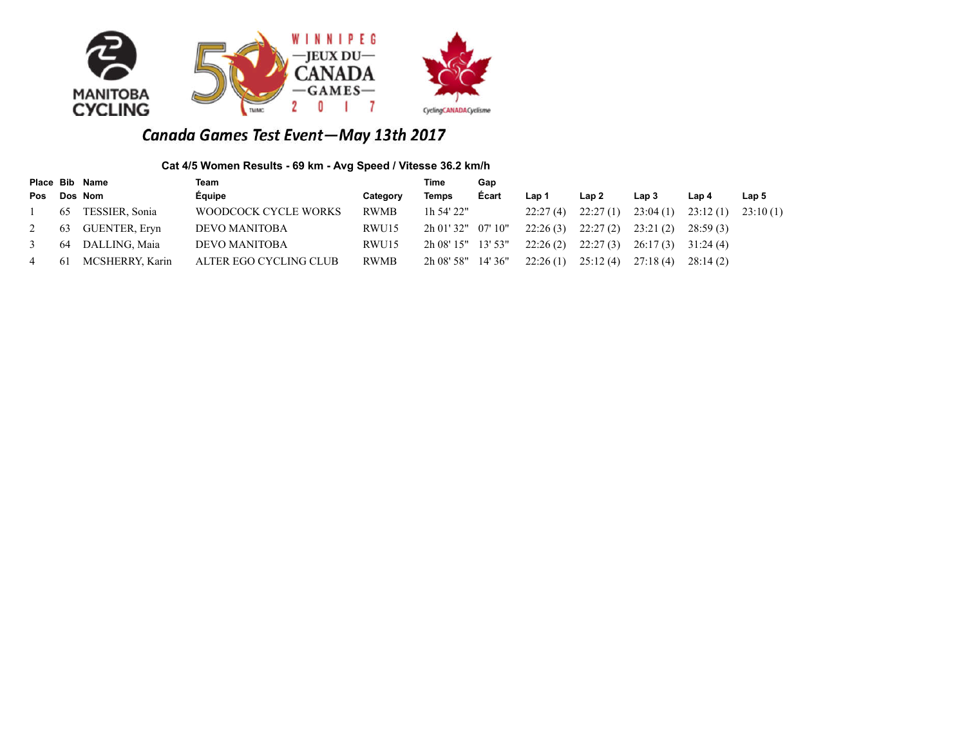

### **Cat 4/5 Women Results - 69 km - Avg Speed / Vitesse 36.2 km/h**

|     |    | Place Bib Name  | Team                   |             | Time                  | Gap     |          |          |          |          |                  |
|-----|----|-----------------|------------------------|-------------|-----------------------|---------|----------|----------|----------|----------|------------------|
| Pos |    | Dos Nom         | Équipe                 | Category    | <b>Temps</b>          | Ecart   | Lap 1    | Lap 2    | Lap 3    | Lap 4    | Lap <sub>5</sub> |
|     | 65 | TESSIER, Sonia  | WOODCOCK CYCLE WORKS   | <b>RWMB</b> | 1h 54' 22"            |         | 22:27(4) | 22:27(1) | 23:04(1) | 23:12(1) | 23:10(1)         |
|     | 63 | GUENTER, Eryn   | DEVO MANITOBA          | RWU15       | $2h\ 01'32''$ 07' 10" |         | 22:26(3) | 22:27(2) | 23:21(2) | 28:59(3) |                  |
|     | 64 | DALLING, Maia   | <b>DEVO MANITOBA</b>   | RWU15       | 2h 08' 15" 13' 53"    |         | 22:26(2) | 22:27(3) | 26:17(3) | 31:24(4) |                  |
|     | 61 | MCSHERRY, Karin | ALTER EGO CYCLING CLUB | <b>RWMB</b> | 2h 08' 58"            | 14'36'' | 22:26(1) | 25:12(4) | 27:18(4) | 28:14(2) |                  |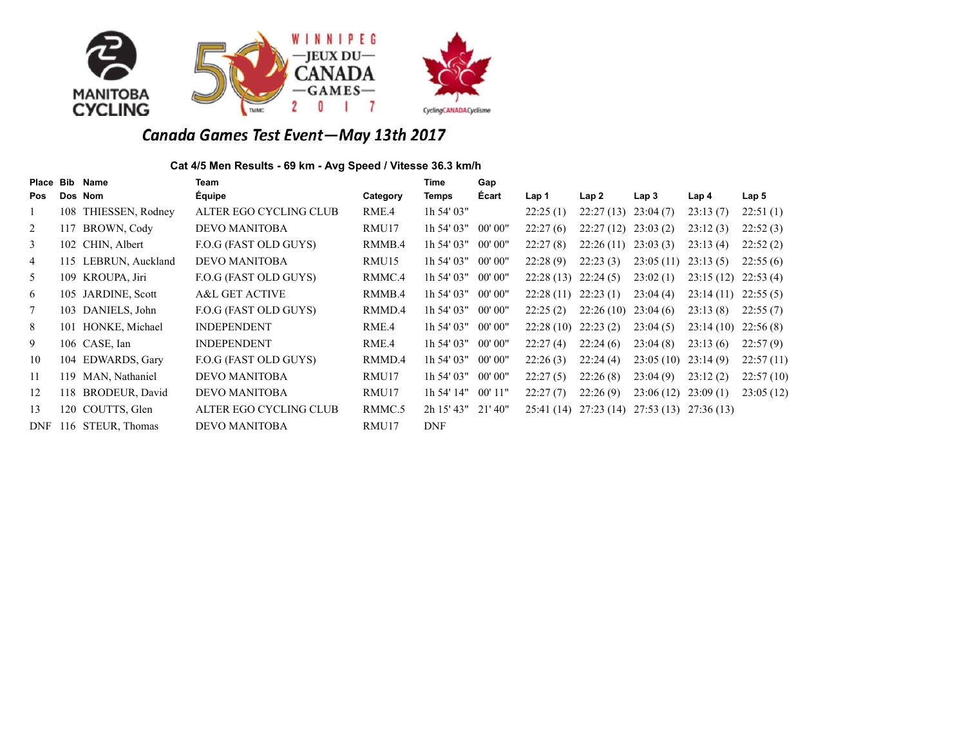

### **Cat 4/5 Men Results - 69 km - Avg Speed / Vitesse 36.3 km/h**

| Place           | <b>Bib</b> | Name                 | Team                      |          | Time         | Gap       |           |           |                                  |           |           |
|-----------------|------------|----------------------|---------------------------|----------|--------------|-----------|-----------|-----------|----------------------------------|-----------|-----------|
| <b>Pos</b>      |            | Dos Nom              | Equipe                    | Category | Temps        | Ecart     | Lap 1     | Lap2      | Lap 3                            | Lap 4     | Lap 5     |
| 1               |            | 108 THIESSEN, Rodney | ALTER EGO CYCLING CLUB    | RME.4    | $1h$ 54' 03" |           | 22:25(1)  | 22:27(13) | 23:04(7)                         | 23:13(7)  | 22:51(1)  |
| 2               | 117        | BROWN, Cody          | <b>DEVO MANITOBA</b>      | RMU17    | 1h 54' 03"   | 00' 00"   | 22:27(6)  | 22:27(12) | 23:03(2)                         | 23:12(3)  | 22:52(3)  |
| 3               |            | 102 CHIN, Albert     | F.O.G (FAST OLD GUYS)     | RMMB.4   | $1h$ 54' 03" | 00' 00"   | 22:27(8)  | 22:26(11) | 23:03(3)                         | 23:13(4)  | 22:52(2)  |
| 4               | 115        | LEBRUN, Auckland     | <b>DEVO MANITOBA</b>      | RMU15    | 1h 54' 03"   | 00' 00"   | 22:28(9)  | 22:23(3)  | 23:05(11)                        | 23:13(5)  | 22:55(6)  |
| 5               |            | 109 KROUPA, Jiri     | F.O.G (FAST OLD GUYS)     | RMMC.4   | $1h$ 54' 03" | 00' 00"   | 22:28(13) | 22:24(5)  | 23:02(1)                         | 23:15(12) | 22:53(4)  |
| 6               |            | 105 JARDINE, Scott   | <b>A&amp;L GET ACTIVE</b> | RMMB.4   | 1h 54' 03"   | 00' 00"   | 22:28(11) | 22:23(1)  | 23:04(4)                         | 23:14(11) | 22:55(5)  |
| $7\phantom{.0}$ |            | 103 DANIELS, John    | F.O.G (FAST OLD GUYS)     | RMMD.4   | $1h$ 54' 03" | 00' 00"   | 22:25(2)  | 22:26(10) | 23:04(6)                         | 23:13(8)  | 22:55(7)  |
| 8               | 101        | HONKE, Michael       | <b>INDEPENDENT</b>        | RME.4    | $1h$ 54' 03" | 00' 00"   | 22:28(10) | 22:23(2)  | 23:04(5)                         | 23:14(10) | 22:56(8)  |
| 9               |            | 106 CASE, Ian        | <b>INDEPENDENT</b>        | RME.4    | $1h$ 54' 03" | 00' 00"   | 22:27(4)  | 22:24(6)  | 23:04(8)                         | 23:13(6)  | 22:57(9)  |
| 10              |            | 104 EDWARDS, Gary    | F.O.G (FAST OLD GUYS)     | RMMD.4   | $1h$ 54' 03" | 00' 00"   | 22:26(3)  | 22:24(4)  | 23:05(10)                        | 23:14(9)  | 22:57(11) |
| 11              | 119        | MAN, Nathaniel       | <b>DEVO MANITOBA</b>      | RMU17    | $1h$ 54' 03" | 00' 00"   | 22:27(5)  | 22:26(8)  | 23:04(9)                         | 23:12(2)  | 22:57(10) |
| 12              | 118        | BRODEUR, David       | <b>DEVO MANITOBA</b>      | RMU17    | 1h 54' 14"   | $00'$ 11" | 22:27(7)  | 22:26(9)  | 23:06(12)                        | 23:09(1)  | 23:05(12) |
| 13              | 120        | COUTTS, Glen         | ALTER EGO CYCLING CLUB    | RMMC.5   | 2h 15' 43"   | 21'40"    | 25:41(14) |           | 27:23 (14) 27:53 (13) 27:36 (13) |           |           |
| <b>DNF</b>      |            | 116 STEUR, Thomas    | <b>DEVO MANITOBA</b>      | RMU17    | <b>DNF</b>   |           |           |           |                                  |           |           |